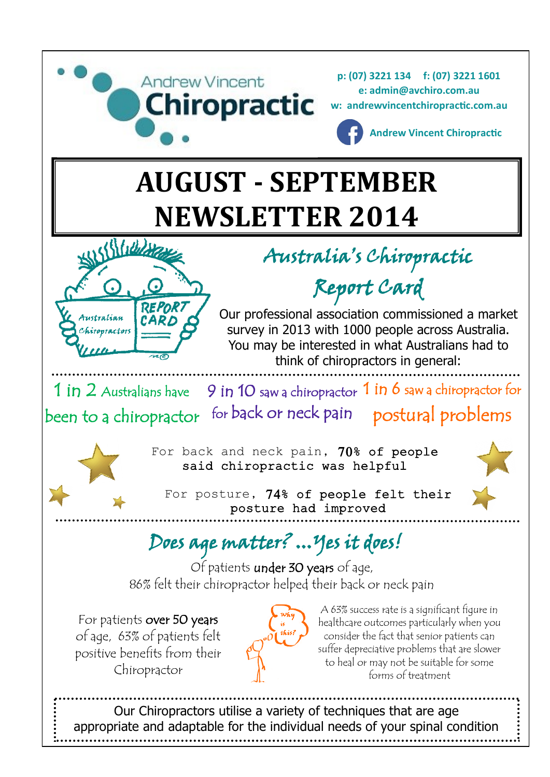